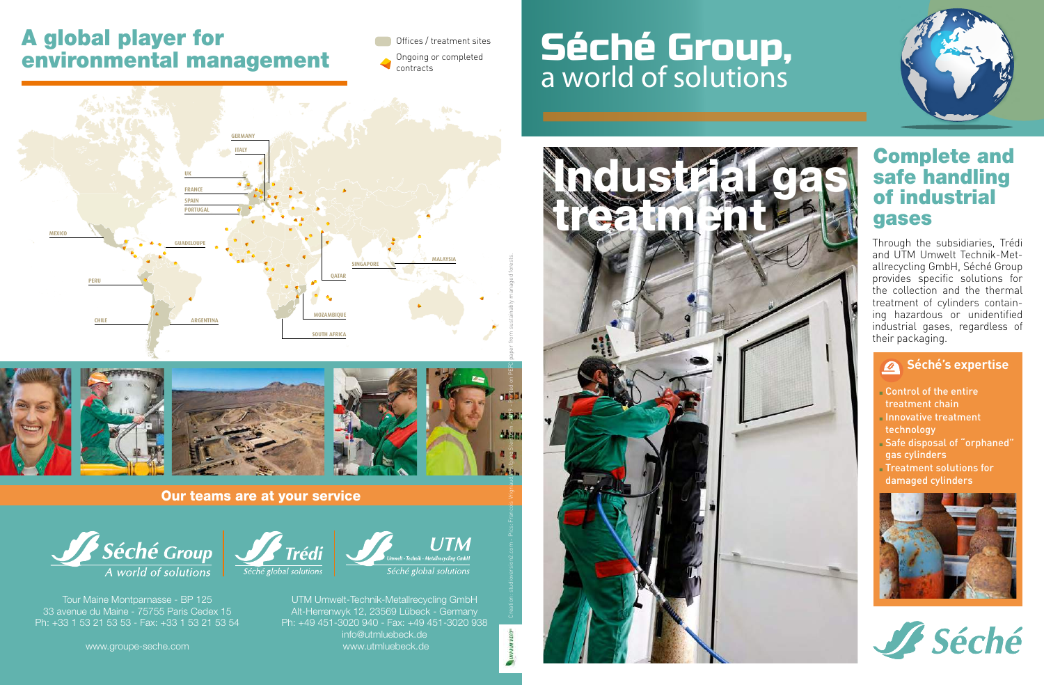## A global player for environmental management

**Offices / treatment sites** Ongoing or completed contracts

# Séché Group, a world of solutions







t - Technik - Metallrecycling GmbH

UTM Umwelt-Technik-Metallrecycling GmbH Alt-Herrenwyk 12, 23569 Lübeck - Germany Ph: +49 451-3020 940 - Fax: +49 451-3020 938 info@utmluebeck.de www.utmluebeck.de

### Our teams are at your service

**Trédi** 



Tour Maine Montparnasse - BP 125 33 avenue du Maine - 75755 Paris Cedex 15 Ph: +33 1 53 21 53 53 - Fax: +33 1 53 21 53 54

www.groupe-seche.com



### Complete and safe handling of industrial gases

Through the subsidiaries, Trédi and UTM Umwelt Technik-Metallrecycling GmbH, Séché Group provides specific solutions for the collection and the thermal treatment of cylinders containing hazardous or unidentified industrial gases, regardless of their packaging.

### **Séché's expertise**

<sup>n</sup> Control of the entire treatment chain Innovative treatment technology <sup>n</sup> Safe disposal of "orphaned" gas cylinders <sup>n</sup> Treatment solutions for damaged cylinders